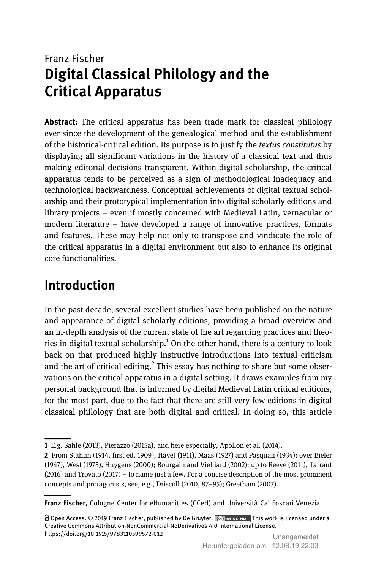# Franz Fischer Digital Classical Philology and the Critical Apparatus

Abstract: The critical apparatus has been trade mark for classical philology ever since the development of the genealogical method and the establishment of the historical-critical edition. Its purpose is to justify the textus constitutus by displaying all significant variations in the history of a classical text and thus making editorial decisions transparent. Within digital scholarship, the critical apparatus tends to be perceived as a sign of methodological inadequacy and technological backwardness. Conceptual achievements of digital textual scholarship and their prototypical implementation into digital scholarly editions and library projects – even if mostly concerned with Medieval Latin, vernacular or modern literature – have developed a range of innovative practices, formats and features. These may help not only to transpose and vindicate the role of the critical apparatus in a digital environment but also to enhance its original core functionalities.

## Introduction

In the past decade, several excellent studies have been published on the nature and appearance of digital scholarly editions, providing a broad overview and an in-depth analysis of the current state of the art regarding practices and theories in digital textual scholarship.<sup>1</sup> On the other hand, there is a century to look back on that produced highly instructive introductions into textual criticism and the art of critical editing.<sup>2</sup> This essay has nothing to share but some observations on the critical apparatus in a digital setting. It draws examples from my personal background that is informed by digital Medieval Latin critical editions, for the most part, due to the fact that there are still very few editions in digital classical philology that are both digital and critical. In doing so, this article

<sup>1</sup> E.g. Sahle (2013), Pierazzo (2015a), and here especially, Apollon et al. (2014).

<sup>2</sup> From Stählin (1914, first ed. 1909), Havet (1911), Maas (1927) and Pasquali (1934); over Bieler (1947), West (1973), Huygens (2000); Bourgain and Vielliard (2002); up to Reeve (2011), Tarrant (2016) and Trovato (2017) – to name just a few. For a concise description of the most prominent concepts and protagonists, see, e.g., Driscoll (2010, 87–95); Greetham (2007).

Franz Fischer, Cologne Center for eHumanities (CCeH) and Università Ca' Foscari Venezia

<sup>@</sup> Open Access. © 2019 Franz Fischer, published by De Gruyter. @ Expection This work is licensed under a Creative Commons Attribution-NonCommercial-NoDerivatives 4.0 International License. <https://doi.org/10.1515/9783110599572-012>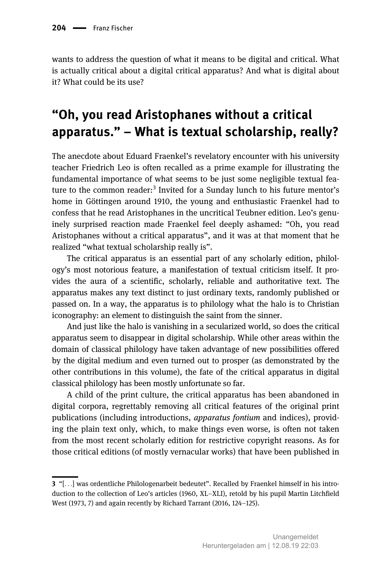wants to address the question of what it means to be digital and critical. What is actually critical about a digital critical apparatus? And what is digital about it? What could be its use?

# "Oh, you read Aristophanes without a critical apparatus." – What is textual scholarship, really?

The anecdote about Eduard Fraenkel's revelatory encounter with his university teacher Friedrich Leo is often recalled as a prime example for illustrating the fundamental importance of what seems to be just some negligible textual feature to the common reader:<sup>3</sup> Invited for a Sunday lunch to his future mentor's home in Göttingen around 1910, the young and enthusiastic Fraenkel had to confess that he read Aristophanes in the uncritical Teubner edition. Leo's genuinely surprised reaction made Fraenkel feel deeply ashamed: "Oh, you read Aristophanes without a critical apparatus", and it was at that moment that he realized "what textual scholarship really is".

The critical apparatus is an essential part of any scholarly edition, philology's most notorious feature, a manifestation of textual criticism itself. It provides the aura of a scientific, scholarly, reliable and authoritative text. The apparatus makes any text distinct to just ordinary texts, randomly published or passed on. In a way, the apparatus is to philology what the halo is to Christian iconography: an element to distinguish the saint from the sinner.

And just like the halo is vanishing in a secularized world, so does the critical apparatus seem to disappear in digital scholarship. While other areas within the domain of classical philology have taken advantage of new possibilities offered by the digital medium and even turned out to prosper (as demonstrated by the other contributions in this volume), the fate of the critical apparatus in digital classical philology has been mostly unfortunate so far.

A child of the print culture, the critical apparatus has been abandoned in digital corpora, regrettably removing all critical features of the original print publications (including introductions, apparatus fontium and indices), providing the plain text only, which, to make things even worse, is often not taken from the most recent scholarly edition for restrictive copyright reasons. As for those critical editions (of mostly vernacular works) that have been published in

<sup>3</sup> "[...] was ordentliche Philologenarbeit bedeutet". Recalled by Fraenkel himself in his introduction to the collection of Leo's articles (1960, XL–XLI), retold by his pupil Martin Litchfield West (1973, 7) and again recently by Richard Tarrant (2016, 124–125).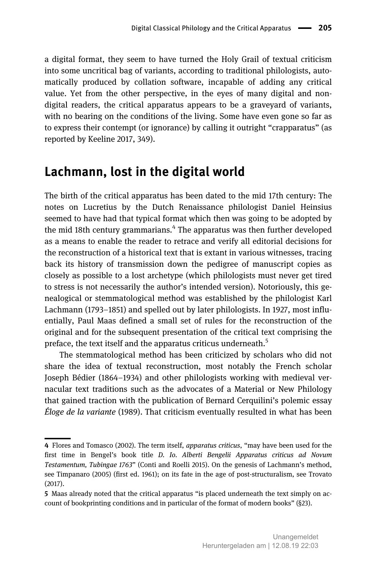a digital format, they seem to have turned the Holy Grail of textual criticism into some uncritical bag of variants, according to traditional philologists, automatically produced by collation software, incapable of adding any critical value. Yet from the other perspective, in the eyes of many digital and nondigital readers, the critical apparatus appears to be a graveyard of variants, with no bearing on the conditions of the living. Some have even gone so far as to express their contempt (or ignorance) by calling it outright "crapparatus" (as reported by Keeline 2017, 349).

#### Lachmann, lost in the digital world

The birth of the critical apparatus has been dated to the mid 17th century: The notes on Lucretius by the Dutch Renaissance philologist Daniel Heinsius seemed to have had that typical format which then was going to be adopted by the mid 18th century grammarians.<sup>4</sup> The apparatus was then further developed as a means to enable the reader to retrace and verify all editorial decisions for the reconstruction of a historical text that is extant in various witnesses, tracing back its history of transmission down the pedigree of manuscript copies as closely as possible to a lost archetype (which philologists must never get tired to stress is not necessarily the author's intended version). Notoriously, this genealogical or stemmatological method was established by the philologist Karl Lachmann (1793–1851) and spelled out by later philologists. In 1927, most influentially, Paul Maas defined a small set of rules for the reconstruction of the original and for the subsequent presentation of the critical text comprising the preface, the text itself and the apparatus criticus underneath.<sup>5</sup>

The stemmatological method has been criticized by scholars who did not share the idea of textual reconstruction, most notably the French scholar Joseph Bédier (1864–1934) and other philologists working with medieval vernacular text traditions such as the advocates of a Material or New Philology that gained traction with the publication of Bernard Cerquilini's polemic essay Éloge de la variante (1989). That criticism eventually resulted in what has been

<sup>4</sup> Flores and Tomasco (2002). The term itself, *apparatus criticus*, "may have been used for the first time in Bengel's book title D. Io. Alberti Bengelii Apparatus criticus ad Novum Testamentum, Tubingae 1763" (Conti and Roelli 2015). On the genesis of Lachmann's method, see Timpanaro (2005) (first ed. 1961); on its fate in the age of post-structuralism, see Trovato (2017).

<sup>5</sup> Maas already noted that the critical apparatus "is placed underneath the text simply on account of bookprinting conditions and in particular of the format of modern books" (§23).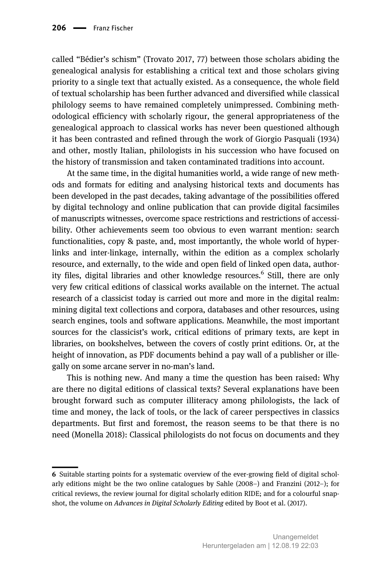called "Bédier's schism" (Trovato 2017, 77) between those scholars abiding the genealogical analysis for establishing a critical text and those scholars giving priority to a single text that actually existed. As a consequence, the whole field of textual scholarship has been further advanced and diversified while classical philology seems to have remained completely unimpressed. Combining methodological efficiency with scholarly rigour, the general appropriateness of the genealogical approach to classical works has never been questioned although it has been contrasted and refined through the work of Giorgio Pasquali (1934) and other, mostly Italian, philologists in his succession who have focused on the history of transmission and taken contaminated traditions into account.

At the same time, in the digital humanities world, a wide range of new methods and formats for editing and analysing historical texts and documents has been developed in the past decades, taking advantage of the possibilities offered by digital technology and online publication that can provide digital facsimiles of manuscripts witnesses, overcome space restrictions and restrictions of accessibility. Other achievements seem too obvious to even warrant mention: search functionalities, copy & paste, and, most importantly, the whole world of hyperlinks and inter-linkage, internally, within the edition as a complex scholarly resource, and externally, to the wide and open field of linked open data, authority files, digital libraries and other knowledge resources.<sup>6</sup> Still, there are only very few critical editions of classical works available on the internet. The actual research of a classicist today is carried out more and more in the digital realm: mining digital text collections and corpora, databases and other resources, using search engines, tools and software applications. Meanwhile, the most important sources for the classicist's work, critical editions of primary texts, are kept in libraries, on bookshelves, between the covers of costly print editions. Or, at the height of innovation, as PDF documents behind a pay wall of a publisher or illegally on some arcane server in no-man's land.

This is nothing new. And many a time the question has been raised: Why are there no digital editions of classical texts? Several explanations have been brought forward such as computer illiteracy among philologists, the lack of time and money, the lack of tools, or the lack of career perspectives in classics departments. But first and foremost, the reason seems to be that there is no need (Monella 2018): Classical philologists do not focus on documents and they

<sup>6</sup> Suitable starting points for a systematic overview of the ever-growing field of digital scholarly editions might be the two online catalogues by Sahle (2008–) and Franzini (2012–); for critical reviews, the review journal for digital scholarly edition RIDE; and for a colourful snapshot, the volume on Advances in Digital Scholarly Editing edited by Boot et al. (2017).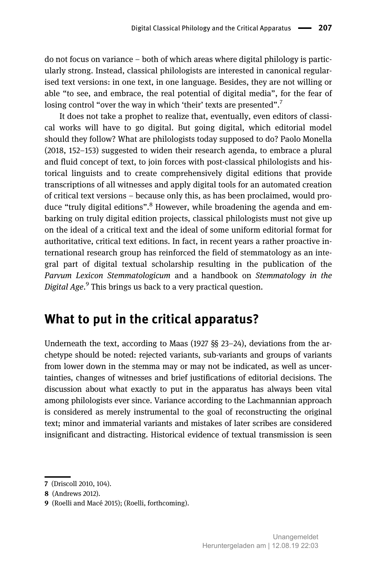do not focus on variance – both of which areas where digital philology is particularly strong. Instead, classical philologists are interested in canonical regularised text versions: in one text, in one language. Besides, they are not willing or able "to see, and embrace, the real potential of digital media", for the fear of losing control "over the way in which 'their' texts are presented".<sup>7</sup>

It does not take a prophet to realize that, eventually, even editors of classical works will have to go digital. But going digital, which editorial model should they follow? What are philologists today supposed to do? Paolo Monella (2018, 152–153) suggested to widen their research agenda, to embrace a plural and fluid concept of text, to join forces with post-classical philologists and historical linguists and to create comprehensively digital editions that provide transcriptions of all witnesses and apply digital tools for an automated creation of critical text versions – because only this, as has been proclaimed, would produce "truly digital editions".<sup>8</sup> However, while broadening the agenda and embarking on truly digital edition projects, classical philologists must not give up on the ideal of a critical text and the ideal of some uniform editorial format for authoritative, critical text editions. In fact, in recent years a rather proactive international research group has reinforced the field of stemmatology as an integral part of digital textual scholarship resulting in the publication of the Parvum Lexicon Stemmatologicum and a handbook on Stemmatology in the Digital Age.<sup>9</sup> This brings us back to a very practical question.

#### What to put in the critical apparatus?

Underneath the text, according to Maas (1927  $\S$ § 23–24), deviations from the archetype should be noted: rejected variants, sub-variants and groups of variants from lower down in the stemma may or may not be indicated, as well as uncertainties, changes of witnesses and brief justifications of editorial decisions. The discussion about what exactly to put in the apparatus has always been vital among philologists ever since. Variance according to the Lachmannian approach is considered as merely instrumental to the goal of reconstructing the original text; minor and immaterial variants and mistakes of later scribes are considered insignificant and distracting. Historical evidence of textual transmission is seen

<sup>7</sup> (Driscoll 2010, 104).

<sup>8</sup> (Andrews 2012).

<sup>9</sup> (Roelli and Macé 2015); (Roelli, forthcoming).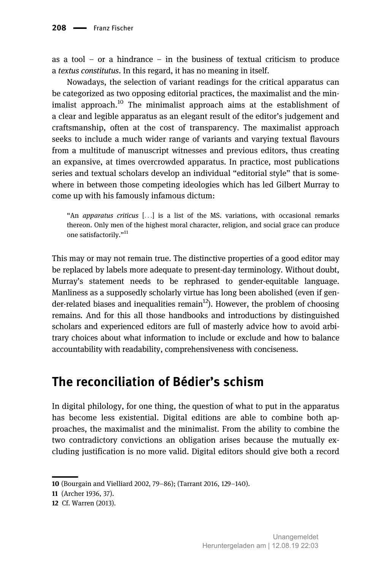as a tool – or a hindrance – in the business of textual criticism to produce a textus constitutus. In this regard, it has no meaning in itself.

Nowadays, the selection of variant readings for the critical apparatus can be categorized as two opposing editorial practices, the maximalist and the minimalist approach.<sup>10</sup> The minimalist approach aims at the establishment of a clear and legible apparatus as an elegant result of the editor's judgement and craftsmanship, often at the cost of transparency. The maximalist approach seeks to include a much wider range of variants and varying textual flavours from a multitude of manuscript witnesses and previous editors, thus creating an expansive, at times overcrowded apparatus. In practice, most publications series and textual scholars develop an individual "editorial style" that is somewhere in between those competing ideologies which has led Gilbert Murray to come up with his famously infamous dictum:

"An *apparatus criticus*  $[\ldots]$  is a list of the MS. variations, with occasional remarks thereon. Only men of the highest moral character, religion, and social grace can produce one satisfactorily."<sup>11</sup>

This may or may not remain true. The distinctive properties of a good editor may be replaced by labels more adequate to present-day terminology. Without doubt, Murray's statement needs to be rephrased to gender-equitable language. Manliness as a supposedly scholarly virtue has long been abolished (even if gender-related biases and inequalities remain<sup>12</sup>). However, the problem of choosing remains. And for this all those handbooks and introductions by distinguished scholars and experienced editors are full of masterly advice how to avoid arbitrary choices about what information to include or exclude and how to balance accountability with readability, comprehensiveness with conciseness.

### The reconciliation of Bédier's schism

In digital philology, for one thing, the question of what to put in the apparatus has become less existential. Digital editions are able to combine both approaches, the maximalist and the minimalist. From the ability to combine the two contradictory convictions an obligation arises because the mutually excluding justification is no more valid. Digital editors should give both a record

<sup>10</sup> (Bourgain and Vielliard 2002, 79–86); (Tarrant 2016, 129–140).

<sup>11</sup> (Archer 1936, 37).

<sup>12</sup> Cf. Warren (2013).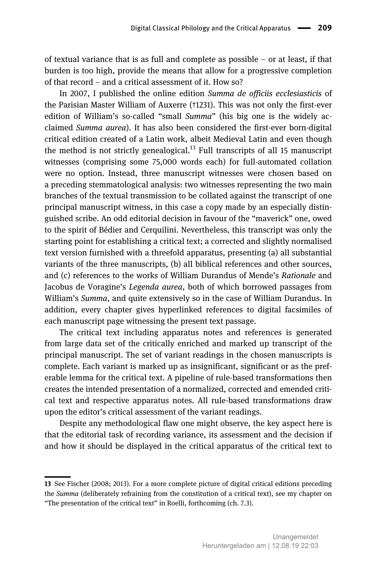of textual variance that is as full and complete as possible – or at least, if that burden is too high, provide the means that allow for a progressive completion of that record – and a critical assessment of it. How so?

In 2007, I published the online edition Summa de officiis ecclesiasticis of the Parisian Master William of Auxerre (†1231). This was not only the first-ever edition of William's so-called "small Summa" (his big one is the widely acclaimed Summa aurea). It has also been considered the first-ever born-digital critical edition created of a Latin work, albeit Medieval Latin and even though the method is not strictly genealogical.<sup>13</sup> Full transcripts of all 15 manuscript witnesses (comprising some 75,000 words each) for full-automated collation were no option. Instead, three manuscript witnesses were chosen based on a preceding stemmatological analysis: two witnesses representing the two main branches of the textual transmission to be collated against the transcript of one principal manuscript witness, in this case a copy made by an especially distinguished scribe. An odd editorial decision in favour of the "maverick" one, owed to the spirit of Bédier and Cerquilini. Nevertheless, this transcript was only the starting point for establishing a critical text; a corrected and slightly normalised text version furnished with a threefold apparatus, presenting (a) all substantial variants of the three manuscripts, (b) all biblical references and other sources, and (c) references to the works of William Durandus of Mende's Rationale and Jacobus de Voragine's Legenda aurea, both of which borrowed passages from William's Summa, and quite extensively so in the case of William Durandus. In addition, every chapter gives hyperlinked references to digital facsimiles of each manuscript page witnessing the present text passage.

The critical text including apparatus notes and references is generated from large data set of the critically enriched and marked up transcript of the principal manuscript. The set of variant readings in the chosen manuscripts is complete. Each variant is marked up as insignificant, significant or as the preferable lemma for the critical text. A pipeline of rule-based transformations then creates the intended presentation of a normalized, corrected and emended critical text and respective apparatus notes. All rule-based transformations draw upon the editor's critical assessment of the variant readings.

Despite any methodological flaw one might observe, the key aspect here is that the editorial task of recording variance, its assessment and the decision if and how it should be displayed in the critical apparatus of the critical text to

<sup>13</sup> See Fischer (2008; 2013). For a more complete picture of digital critical editions preceding the Summa (deliberately refraining from the constitution of a critical text), see my chapter on "The presentation of the critical text" in Roelli, forthcoming (ch. 7.3).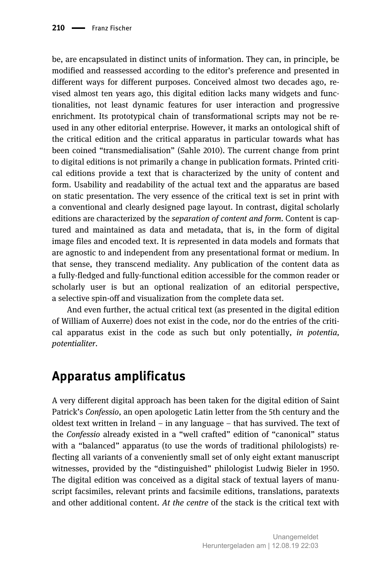be, are encapsulated in distinct units of information. They can, in principle, be modified and reassessed according to the editor's preference and presented in different ways for different purposes. Conceived almost two decades ago, revised almost ten years ago, this digital edition lacks many widgets and functionalities, not least dynamic features for user interaction and progressive enrichment. Its prototypical chain of transformational scripts may not be reused in any other editorial enterprise. However, it marks an ontological shift of the critical edition and the critical apparatus in particular towards what has been coined "transmedialisation" (Sahle 2010). The current change from print to digital editions is not primarily a change in publication formats. Printed critical editions provide a text that is characterized by the unity of content and form. Usability and readability of the actual text and the apparatus are based on static presentation. The very essence of the critical text is set in print with a conventional and clearly designed page layout. In contrast, digital scholarly editions are characterized by the separation of content and form. Content is captured and maintained as data and metadata, that is, in the form of digital image files and encoded text. It is represented in data models and formats that are agnostic to and independent from any presentational format or medium. In that sense, they transcend mediality. Any publication of the content data as a fully-fledged and fully-functional edition accessible for the common reader or scholarly user is but an optional realization of an editorial perspective, a selective spin-off and visualization from the complete data set.

And even further, the actual critical text (as presented in the digital edition of William of Auxerre) does not exist in the code, nor do the entries of the critical apparatus exist in the code as such but only potentially, in potentia, potentialiter.

### Apparatus amplificatus

A very different digital approach has been taken for the digital edition of Saint Patrick's Confessio, an open apologetic Latin letter from the 5th century and the oldest text written in Ireland – in any language – that has survived. The text of the Confessio already existed in a "well crafted" edition of "canonical" status with a "balanced" apparatus (to use the words of traditional philologists) reflecting all variants of a conveniently small set of only eight extant manuscript witnesses, provided by the "distinguished" philologist Ludwig Bieler in 1950. The digital edition was conceived as a digital stack of textual layers of manuscript facsimiles, relevant prints and facsimile editions, translations, paratexts and other additional content. At the centre of the stack is the critical text with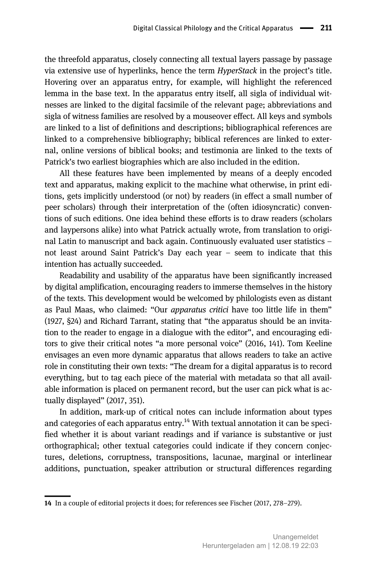the threefold apparatus, closely connecting all textual layers passage by passage via extensive use of hyperlinks, hence the term HyperStack in the project's title. Hovering over an apparatus entry, for example, will highlight the referenced lemma in the base text. In the apparatus entry itself, all sigla of individual witnesses are linked to the digital facsimile of the relevant page; abbreviations and sigla of witness families are resolved by a mouseover effect. All keys and symbols are linked to a list of definitions and descriptions; bibliographical references are linked to a comprehensive bibliography; biblical references are linked to external, online versions of biblical books; and testimonia are linked to the texts of Patrick's two earliest biographies which are also included in the edition.

All these features have been implemented by means of a deeply encoded text and apparatus, making explicit to the machine what otherwise, in print editions, gets implicitly understood (or not) by readers (in effect a small number of peer scholars) through their interpretation of the (often idiosyncratic) conventions of such editions. One idea behind these efforts is to draw readers (scholars and laypersons alike) into what Patrick actually wrote, from translation to original Latin to manuscript and back again. Continuously evaluated user statistics – not least around Saint Patrick's Day each year – seem to indicate that this intention has actually succeeded.

Readability and usability of the apparatus have been significantly increased by digital amplification, encouraging readers to immerse themselves in the history of the texts. This development would be welcomed by philologists even as distant as Paul Maas, who claimed: "Our apparatus critici have too little life in them" (1927, §24) and Richard Tarrant, stating that "the apparatus should be an invitation to the reader to engage in a dialogue with the editor", and encouraging editors to give their critical notes "a more personal voice" (2016, 141). Tom Keeline envisages an even more dynamic apparatus that allows readers to take an active role in constituting their own texts: "The dream for a digital apparatus is to record everything, but to tag each piece of the material with metadata so that all available information is placed on permanent record, but the user can pick what is actually displayed" (2017, 351).

In addition, mark-up of critical notes can include information about types and categories of each apparatus entry.<sup>14</sup> With textual annotation it can be specified whether it is about variant readings and if variance is substantive or just orthographical; other textual categories could indicate if they concern conjectures, deletions, corruptness, transpositions, lacunae, marginal or interlinear additions, punctuation, speaker attribution or structural differences regarding

<sup>14</sup> In a couple of editorial projects it does; for references see Fischer (2017, 278–279).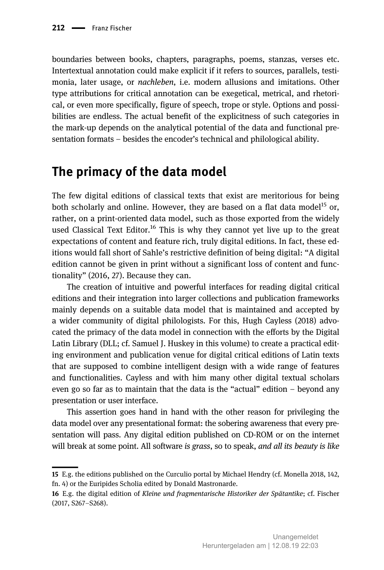boundaries between books, chapters, paragraphs, poems, stanzas, verses etc. Intertextual annotation could make explicit if it refers to sources, parallels, testimonia, later usage, or nachleben, i.e. modern allusions and imitations. Other type attributions for critical annotation can be exegetical, metrical, and rhetorical, or even more specifically, figure of speech, trope or style. Options and possibilities are endless. The actual benefit of the explicitness of such categories in the mark-up depends on the analytical potential of the data and functional presentation formats – besides the encoder's technical and philological ability.

#### The primacy of the data model

The few digital editions of classical texts that exist are meritorious for being both scholarly and online. However, they are based on a flat data model<sup>15</sup> or, rather, on a print-oriented data model, such as those exported from the widely used Classical Text Editor.<sup>16</sup> This is why they cannot yet live up to the great expectations of content and feature rich, truly digital editions. In fact, these editions would fall short of Sahle's restrictive definition of being digital: "A digital edition cannot be given in print without a significant loss of content and functionality" (2016, 27). Because they can.

The creation of intuitive and powerful interfaces for reading digital critical editions and their integration into larger collections and publication frameworks mainly depends on a suitable data model that is maintained and accepted by a wider community of digital philologists. For this, Hugh Cayless (2018) advocated the primacy of the data model in connection with the efforts by the Digital Latin Library (DLL; cf. Samuel J. Huskey in this volume) to create a practical editing environment and publication venue for digital critical editions of Latin texts that are supposed to combine intelligent design with a wide range of features and functionalities. Cayless and with him many other digital textual scholars even go so far as to maintain that the data is the "actual" edition – beyond any presentation or user interface.

This assertion goes hand in hand with the other reason for privileging the data model over any presentational format: the sobering awareness that every presentation will pass. Any digital edition published on CD-ROM or on the internet will break at some point. All software is grass, so to speak, and all its beauty is like

<sup>15</sup> E.g. the editions published on the Curculio portal by Michael Hendry (cf. Monella 2018, 142, fn. 4) or the Euripides Scholia edited by Donald Mastronarde.

<sup>16</sup> E.g. the digital edition of Kleine und fragmentarische Historiker der Spätantike; cf. Fischer (2017, S267–S268).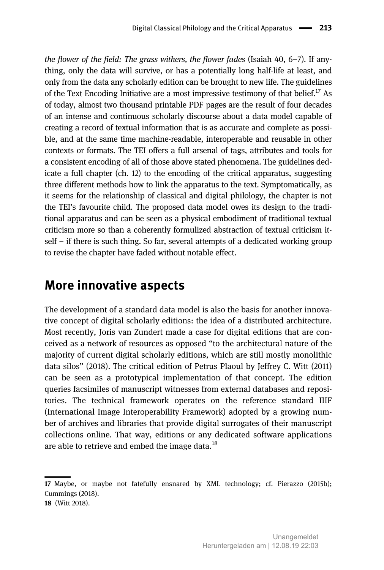the flower of the field: The grass withers, the flower fades (Isaiah 40, 6–7). If anything, only the data will survive, or has a potentially long half-life at least, and only from the data any scholarly edition can be brought to new life. The guidelines of the Text Encoding Initiative are a most impressive testimony of that belief.<sup>17</sup> As of today, almost two thousand printable PDF pages are the result of four decades of an intense and continuous scholarly discourse about a data model capable of creating a record of textual information that is as accurate and complete as possible, and at the same time machine-readable, interoperable and reusable in other contexts or formats. The TEI offers a full arsenal of tags, attributes and tools for a consistent encoding of all of those above stated phenomena. The guidelines dedicate a full chapter (ch. 12) to the encoding of the critical apparatus, suggesting three different methods how to link the apparatus to the text. Symptomatically, as it seems for the relationship of classical and digital philology, the chapter is not the TEI's favourite child. The proposed data model owes its design to the traditional apparatus and can be seen as a physical embodiment of traditional textual criticism more so than a coherently formulized abstraction of textual criticism itself – if there is such thing. So far, several attempts of a dedicated working group to revise the chapter have faded without notable effect.

#### More innovative aspects

The development of a standard data model is also the basis for another innovative concept of digital scholarly editions: the idea of a distributed architecture. Most recently, Joris van Zundert made a case for digital editions that are conceived as a network of resources as opposed "to the architectural nature of the majority of current digital scholarly editions, which are still mostly monolithic data silos" (2018). The critical edition of Petrus Plaoul by Jeffrey C. Witt (2011) can be seen as a prototypical implementation of that concept. The edition queries facsimiles of manuscript witnesses from external databases and repositories. The technical framework operates on the reference standard IIIF (International Image Interoperability Framework) adopted by a growing number of archives and libraries that provide digital surrogates of their manuscript collections online. That way, editions or any dedicated software applications are able to retrieve and embed the image data.<sup>18</sup>

<sup>17</sup> Maybe, or maybe not fatefully ensnared by XML technology; cf. Pierazzo (2015b); Cummings (2018).

<sup>18</sup> (Witt 2018).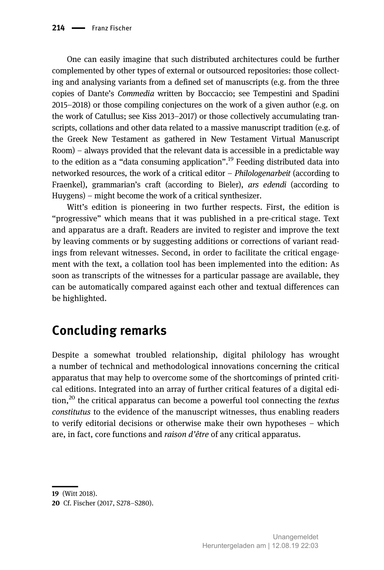One can easily imagine that such distributed architectures could be further complemented by other types of external or outsourced repositories: those collecting and analysing variants from a defined set of manuscripts (e.g. from the three copies of Dante's Commedia written by Boccaccio; see Tempestini and Spadini 2015–2018) or those compiling conjectures on the work of a given author (e.g. on the work of Catullus; see Kiss 2013–2017) or those collectively accumulating transcripts, collations and other data related to a massive manuscript tradition (e.g. of the Greek New Testament as gathered in New Testament Virtual Manuscript Room) – always provided that the relevant data is accessible in a predictable way to the edition as a "data consuming application".<sup>19</sup> Feeding distributed data into networked resources, the work of a critical editor – Philologenarbeit (according to Fraenkel), grammarian's craft (according to Bieler), ars edendi (according to Huygens) – might become the work of a critical synthesizer.

Witt's edition is pioneering in two further respects. First, the edition is "progressive" which means that it was published in a pre-critical stage. Text and apparatus are a draft. Readers are invited to register and improve the text by leaving comments or by suggesting additions or corrections of variant readings from relevant witnesses. Second, in order to facilitate the critical engagement with the text, a collation tool has been implemented into the edition: As soon as transcripts of the witnesses for a particular passage are available, they can be automatically compared against each other and textual differences can be highlighted.

# Concluding remarks

Despite a somewhat troubled relationship, digital philology has wrought a number of technical and methodological innovations concerning the critical apparatus that may help to overcome some of the shortcomings of printed critical editions. Integrated into an array of further critical features of a digital edition,<sup>20</sup> the critical apparatus can become a powerful tool connecting the *textus* constitutus to the evidence of the manuscript witnesses, thus enabling readers to verify editorial decisions or otherwise make their own hypotheses – which are, in fact, core functions and raison d'être of any critical apparatus.

<sup>19</sup> (Witt 2018).

<sup>20</sup> Cf. Fischer (2017, S278–S280).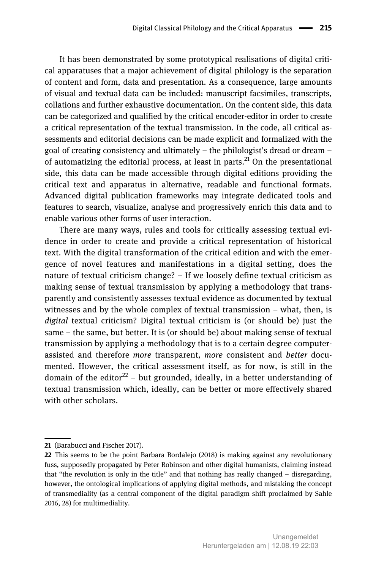It has been demonstrated by some prototypical realisations of digital critical apparatuses that a major achievement of digital philology is the separation of content and form, data and presentation. As a consequence, large amounts of visual and textual data can be included: manuscript facsimiles, transcripts, collations and further exhaustive documentation. On the content side, this data can be categorized and qualified by the critical encoder-editor in order to create a critical representation of the textual transmission. In the code, all critical assessments and editorial decisions can be made explicit and formalized with the goal of creating consistency and ultimately  $-$  the philologist's dread or dream  $$ of automatizing the editorial process, at least in parts. $^{21}$  On the presentational side, this data can be made accessible through digital editions providing the critical text and apparatus in alternative, readable and functional formats. Advanced digital publication frameworks may integrate dedicated tools and features to search, visualize, analyse and progressively enrich this data and to enable various other forms of user interaction.

There are many ways, rules and tools for critically assessing textual evidence in order to create and provide a critical representation of historical text. With the digital transformation of the critical edition and with the emergence of novel features and manifestations in a digital setting, does the nature of textual criticism change? – If we loosely define textual criticism as making sense of textual transmission by applying a methodology that transparently and consistently assesses textual evidence as documented by textual witnesses and by the whole complex of textual transmission  $-$  what, then, is digital textual criticism? Digital textual criticism is (or should be) just the same – the same, but better. It is (or should be) about making sense of textual transmission by applying a methodology that is to a certain degree computerassisted and therefore more transparent, more consistent and better documented. However, the critical assessment itself, as for now, is still in the domain of the editor<sup>22</sup> – but grounded, ideally, in a better understanding of textual transmission which, ideally, can be better or more effectively shared with other scholars.

<sup>21</sup> (Barabucci and Fischer 2017).

<sup>22</sup> This seems to be the point Barbara Bordalejo (2018) is making against any revolutionary fuss, supposedly propagated by Peter Robinson and other digital humanists, claiming instead that "the revolution is only in the title" and that nothing has really changed – disregarding, however, the ontological implications of applying digital methods, and mistaking the concept of transmediality (as a central component of the digital paradigm shift proclaimed by Sahle 2016, 28) for multimediality.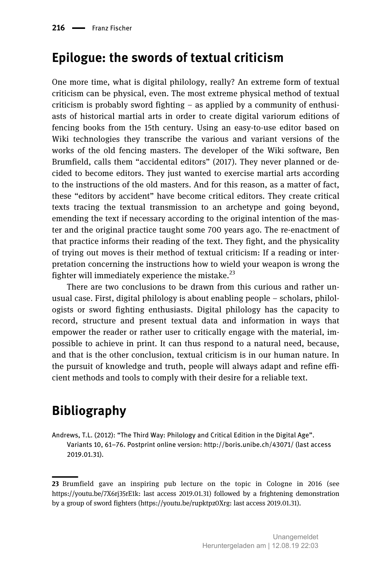### Epilogue: the swords of textual criticism

One more time, what is digital philology, really? An extreme form of textual criticism can be physical, even. The most extreme physical method of textual criticism is probably sword fighting – as applied by a community of enthusiasts of historical martial arts in order to create digital variorum editions of fencing books from the 15th century. Using an easy-to-use editor based on Wiki technologies they transcribe the various and variant versions of the works of the old fencing masters. The developer of the Wiki software, Ben Brumfield, calls them "accidental editors" (2017). They never planned or decided to become editors. They just wanted to exercise martial arts according to the instructions of the old masters. And for this reason, as a matter of fact, these "editors by accident" have become critical editors. They create critical texts tracing the textual transmission to an archetype and going beyond, emending the text if necessary according to the original intention of the master and the original practice taught some 700 years ago. The re-enactment of that practice informs their reading of the text. They fight, and the physicality of trying out moves is their method of textual criticism: If a reading or interpretation concerning the instructions how to wield your weapon is wrong the fighter will immediately experience the mistake. $^{23}$ 

There are two conclusions to be drawn from this curious and rather unusual case. First, digital philology is about enabling people – scholars, philologists or sword fighting enthusiasts. Digital philology has the capacity to record, structure and present textual data and information in ways that empower the reader or rather user to critically engage with the material, impossible to achieve in print. It can thus respond to a natural need, because, and that is the other conclusion, textual criticism is in our human nature. In the pursuit of knowledge and truth, people will always adapt and refine efficient methods and tools to comply with their desire for a reliable text.

# Bibliography

Andrews, T.L. (2012): "The Third Way: Philology and Critical Edition in the Digital Age". Variants 10, 61–76. Postprint online version:<http://boris.unibe.ch/43071/> (last access 2019.01.31).

<sup>23</sup> Brumfield gave an inspiring pub lecture on the topic in Cologne in 2016 (see <https://youtu.be/7X6rj35rE1k>: last access 2019.01.31) followed by a frightening demonstration by a group of sword fighters ([https://youtu.be/rupktpz0Xrg:](https://youtu.be/rupktpz0Xrg) last access 2019.01.31).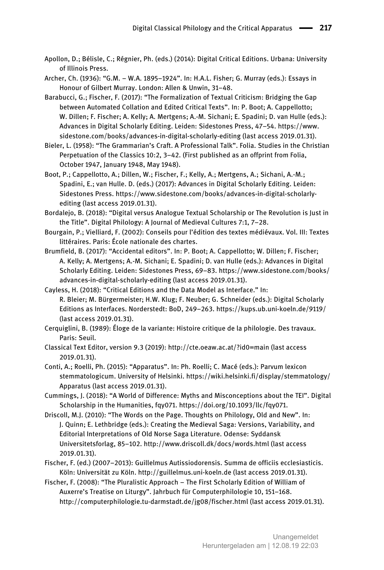- Apollon, D.; Bélisle, C.; Régnier, Ph. (eds.) (2014): Digital Critical Editions. Urbana: University of Illinois Press.
- Archer, Ch. (1936): "G.M. W.A. 1895–1924". In: H.A.L. Fisher; G. Murray (eds.): Essays in Honour of Gilbert Murray. London: Allen & Unwin, 31–48.
- Barabucci, G.; Fischer, F. (2017): "The Formalization of Textual Criticism: Bridging the Gap between Automated Collation and Edited Critical Texts". In: P. Boot; A. Cappellotto; W. Dillen; F. Fischer; A. Kelly; A. Mertgens; A.-M. Sichani; E. Spadini; D. van Hulle (eds.): Advances in Digital Scholarly Editing. Leiden: Sidestones Press, 47–54. [https://www.](https://www.sidestone.com/books/advances-in-digital-scholarly-editing) [sidestone.com/books/advances-in-digital-scholarly-editing](https://www.sidestone.com/books/advances-in-digital-scholarly-editing) (last access 2019.01.31).
- Bieler, L. (1958): "The Grammarian's Craft. A Professional Talk". Folia. Studies in the Christian Perpetuation of the Classics 10:2, 3–42. (First published as an offprint from Folia, October 1947, January 1948, May 1948).
- Boot, P.; Cappellotto, A.; Dillen, W.; Fischer, F.; Kelly, A.; Mertgens, A.; Sichani, A.-M.; Spadini, E.; van Hulle. D. (eds.) (2017): Advances in Digital Scholarly Editing. Leiden: Sidestones Press. [https://www.sidestone.com/books/advances-in-digital-scholarly](https://www.sidestone.com/books/advances-in-digital-scholarly-editing)[editing](https://www.sidestone.com/books/advances-in-digital-scholarly-editing) (last access 2019.01.31).
- Bordalejo, B. (2018): "Digital versus Analogue Textual Scholarship or The Revolution is Just in the Title". Digital Philology: A Journal of Medieval Cultures 7:1, 7–28.
- Bourgain, P.; Vielliard, F. (2002): Conseils pour l'édition des textes médiévaux. Vol. III: Textes littéraires. Paris: École nationale des chartes.
- Brumfield, B. (2017): "Accidental editors". In: P. Boot; A. Cappellotto; W. Dillen; F. Fischer; A. Kelly; A. Mertgens; A.-M. Sichani; E. Spadini; D. van Hulle (eds.): Advances in Digital Scholarly Editing. Leiden: Sidestones Press, 69–83. [https://www.sidestone.com/books/](https://www.sidestone.com/books/advances-in-digital-scholarly-editing) [advances-in-digital-scholarly-editing](https://www.sidestone.com/books/advances-in-digital-scholarly-editing) (last access 2019.01.31).
- Cayless, H. (2018): "Critical Editions and the Data Model as Interface." In: R. Bleier; M. Bürgermeister; H.W. Klug; F. Neuber; G. Schneider (eds.): Digital Scholarly Editions as Interfaces. Norderstedt: BoD, 249–263.<https://kups.ub.uni-koeln.de/9119/> (last access 2019.01.31).
- Cerquiglini, B. (1989): Éloge de la variante: Histoire critique de la philologie. Des travaux. Paris: Seuil.
- Classical Text Editor, version 9.3 (2019):<http://cte.oeaw.ac.at/?id0=main> (last access 2019.01.31).
- Conti, A.; Roelli, Ph. (2015): "Apparatus". In: Ph. Roelli; C. Macé (eds.): Parvum lexicon stemmatologicum. University of Helsinki. [https://wiki.helsinki.fi/display/stemmatology/](https://wiki.helsinki.fi/display/stemmatology/Apparatus) [Apparatus](https://wiki.helsinki.fi/display/stemmatology/Apparatus) (last access 2019.01.31).
- Cummings, J. (2018): "A World of Difference: Myths and Misconceptions about the TEI". Digital Scholarship in the Humanities, fqy071. [https://doi.org/10.1093/llc/fqy071.](https://doi.org/10.1093/llc/fqy071)
- Driscoll, M.J. (2010): "The Words on the Page. Thoughts on Philology, Old and New". In: J. Quinn; E. Lethbridge (eds.): Creating the Medieval Saga: Versions, Variability, and Editorial Interpretations of Old Norse Saga Literature. Odense: Syddansk Universitetsforlag, 85–102.<http://www.driscoll.dk/docs/words.html> (last access 2019.01.31).
- Fischer, F. (ed.) (2007–2013): Guillelmus Autissiodorensis. Summa de officiis ecclesiasticis. Köln: Universität zu Köln.<http://guillelmus.uni-koeln.de> (last access 2019.01.31).
- Fischer, F. (2008): "The Pluralistic Approach The First Scholarly Edition of William of Auxerre's Treatise on Liturgy". Jahrbuch für Computerphilologie 10, 151–168. <http://computerphilologie.tu-darmstadt.de/jg08/fischer.html> (last access 2019.01.31).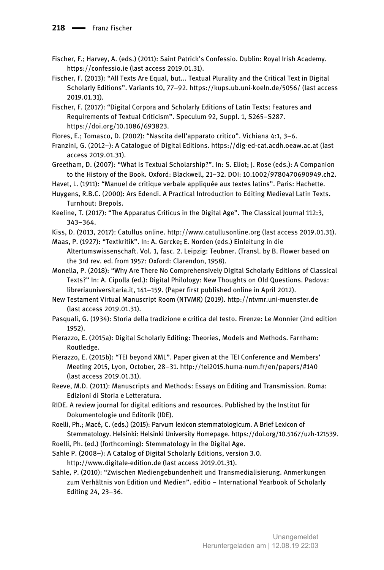- Fischer, F.; Harvey, A. (eds.) (2011): Saint Patrick's Confessio. Dublin: Royal Irish Academy. <https://confessio.ie> (last access 2019.01.31).
- Fischer, F. (2013): "All Texts Are Equal, but... Textual Plurality and the Critical Text in Digital Scholarly Editions". Variants 10, 77–92.<https://kups.ub.uni-koeln.de/5056/> (last access 2019.01.31).
- Fischer, F. (2017): "Digital Corpora and Scholarly Editions of Latin Texts: Features and Requirements of Textual Criticism". Speculum 92, Suppl. 1, S265–S287. [https://doi.org/10.1086/693823](https://kups.ub.uni-koeln.de/5056/).

Flores, E.; Tomasco, D. (2002): "Nascita dell'apparato critico". Vichiana 4:1, 3–6.

- Franzini, G. (2012–): A Catalogue of Digital Editions.<https://dig-ed-cat.acdh.oeaw.ac.at> (last access 2019.01.31).
- Greetham, D. (2007): "What is Textual Scholarship?". In: S. Eliot; J. Rose (eds.): A Companion to the History of the Book. Oxford: Blackwell, 21–32. DOI: 10.1002/9780470690949.ch2.
- Havet, L. (1911): "Manuel de critique verbale appliquée aux textes latins". Paris: Hachette.
- Huygens, R.B.C. (2000): Ars Edendi. A Practical Introduction to Editing Medieval Latin Texts. Turnhout: Brepols.
- Keeline, T. (2017): "The Apparatus Criticus in the Digital Age". The Classical Journal 112:3, 343–364.
- Kiss, D. (2013, 2017): Catullus online.<http://www.catullusonline.org> (last access 2019.01.31).
- Maas, P. (1927): "Textkritik". In: A. Gercke; E. Norden (eds.) Einleitung in die Altertumswissenschaft. Vol. 1, fasc. 2. Leipzig: Teubner. (Transl. by B. Flower based on the 3rd rev. ed. from 1957: Oxford: Clarendon, 1958).
- Monella, P. (2018): "Why Are There No Comprehensively Digital Scholarly Editions of Classical Texts?" In: A. Cipolla (ed.): Digital Philology: New Thoughts on Old Questions. Padova: libreriauniversitaria.it, 141–159. (Paper first published online in April 2012).
- New Testament Virtual Manuscript Room (NTVMR) (2019).<http://ntvmr.uni-muenster.de> (last access 2019.01.31).
- Pasquali, G. (1934): Storia della tradizione e critica del testo. Firenze: Le Monnier (2nd edition 1952).
- Pierazzo, E. (2015a): Digital Scholarly Editing: Theories, Models and Methods. Farnham: Routledge.
- Pierazzo, E. (2015b): "TEI beyond XML". Paper given at the TEI Conference and Members' Meeting 2015, Lyon, October, 28–31.<http://tei2015.huma-num.fr/en/papers/#140> (last access 2019.01.31).
- Reeve, M.D. (2011): Manuscripts and Methods: Essays on Editing and Transmission. Roma: Edizioni di Storia e Letteratura.
- RIDE. A review journal for digital editions and resources. Published by the Institut für Dokumentologie und Editorik (IDE).
- Roelli, Ph.; Macé, C. (eds.) (2015): Parvum lexicon stemmatologicum. A Brief Lexicon of Stemmatology. Helsinki: Helsinki University Homepage.<https://doi.org/10.5167/uzh-121539>.
- Roelli, Ph. (ed.) (forthcoming): Stemmatology in the Digital Age.
- Sahle P. (2008–): A Catalog of Digital Scholarly Editions, version 3.0. <http://www.digitale-edition.de> (last access 2019.01.31).
- Sahle, P. (2010): "Zwischen Mediengebundenheit und Transmedialisierung. Anmerkungen zum Verhältnis von Edition und Medien". editio – International Yearbook of Scholarly Editing 24, 23–36.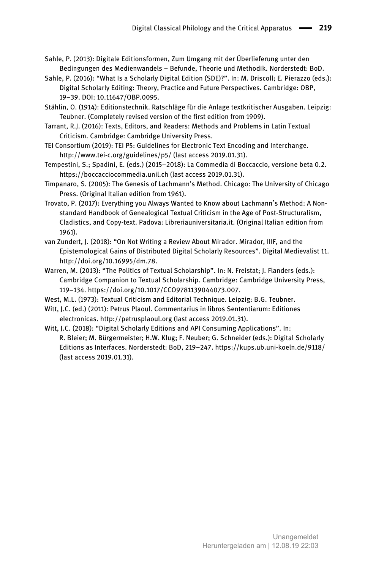- Sahle, P. (2013): Digitale Editionsformen, Zum Umgang mit der Überlieferung unter den Bedingungen des Medienwandels – Befunde, Theorie und Methodik. Norderstedt: BoD.
- Sahle, P. (2016): "What Is a Scholarly Digital Edition (SDE)?". In: M. Driscoll; E. Pierazzo (eds.): Digital Scholarly Editing: Theory, Practice and Future Perspectives. Cambridge: OBP, 19–39. DOI: 10.11647/OBP.0095.
- Stählin, O. (1914): Editionstechnik. Ratschläge für die Anlage textkritischer Ausgaben. Leipzig: Teubner. (Completely revised version of the first edition from 1909).
- Tarrant, R.J. (2016): Texts, Editors, and Readers: Methods and Problems in Latin Textual Criticism. Cambridge: Cambridge University Press.
- TEI Consortium (2019): TEI P5: Guidelines for Electronic Text Encoding and Interchange. <http://www.tei-c.org/guidelines/p5/> (last access 2019.01.31).
- Tempestini, S.; Spadini, E. (eds.) (2015–2018): La Commedia di Boccaccio, versione beta 0.2. <https://boccacciocommedia.unil.ch> (last access 2019.01.31).
- Timpanaro, S. (2005): The Genesis of Lachmann's Method. Chicago: The University of Chicago Press. (Original Italian edition from 1961).
- Trovato, P. (2017): Everything you Always Wanted to Know about Lachmann's Method: A Nonstandard Handbook of Genealogical Textual Criticism in the Age of Post-Structuralism, Cladistics, and Copy-text. Padova: Libreriauniversitaria.it. (Original Italian edition from 1961).
- van Zundert, J. (2018): "On Not Writing a Review About Mirador. Mirador, IIIF, and the Epistemological Gains of Distributed Digital Scholarly Resources". Digital Medievalist 11. [http://doi.org/10.16995/dm.78.](http://doi.org/10.16995/dm.78)
- Warren, M. (2013): "The Politics of Textual Scholarship". In: N. Freistat; J. Flanders (eds.): Cambridge Companion to Textual Scholarship. Cambridge: Cambridge University Press, 119–134.<https://doi.org/10.1017/CCO9781139044073.007>.
- West, M.L. (1973): Textual Criticism and Editorial Technique. Leipzig: B.G. Teubner.
- Witt, J.C. (ed.) (2011): Petrus Plaoul. Commentarius in libros Sententiarum: Editiones electronicas.<http://petrusplaoul.org> (last access 2019.01.31).
- Witt, J.C. (2018): "Digital Scholarly Editions and API Consuming Applications". In: R. Bleier; M. Bürgermeister; H.W. Klug; F. Neuber; G. Schneider (eds.): Digital Scholarly Editions as Interfaces. Norderstedt: BoD, 219–247.<https://kups.ub.uni-koeln.de/9118/> (last access 2019.01.31).